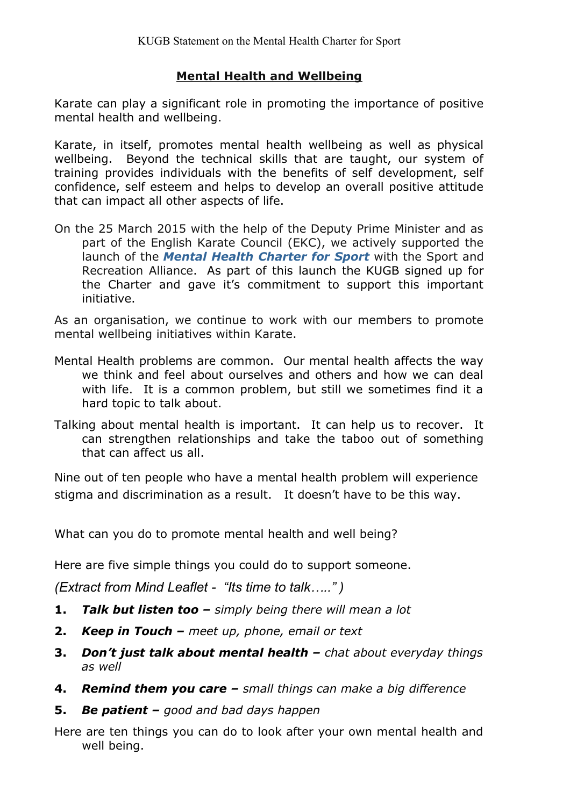## **Mental Health and Wellbeing**

Karate can play a significant role in promoting the importance of positive mental health and wellbeing.

Karate, in itself, promotes mental health wellbeing as well as physical wellbeing. Beyond the technical skills that are taught, our system of training provides individuals with the benefits of self development, self confidence, self esteem and helps to develop an overall positive attitude that can impact all other aspects of life.

On the 25 March 2015 with the help of the Deputy Prime Minister and as part of the English Karate Council (EKC), we actively supported the launch of the *[Mental Health Charter for Sport](http://www.ppf.org.uk/images/pdf/Mental%20Health%20Charter%20for%20Sport%20and%20Recreation.pdf)* with the Sport and Recreation Alliance. As part of this launch the KUGB signed up for the Charter and gave it's commitment to support this important initiative.

As an organisation, we continue to work with our members to promote mental wellbeing initiatives within Karate.

- Mental Health problems are common. Our mental health affects the way we think and feel about ourselves and others and how we can deal with life. It is a common problem, but still we sometimes find it a hard topic to talk about.
- Talking about mental health is important. It can help us to recover. It can strengthen relationships and take the taboo out of something that can affect us all.

Nine out of ten people who have a mental health problem will experience stigma and discrimination as a result. It doesn't have to be this way.

What can you do to promote mental health and well being?

Here are five simple things you could do to support someone.

*(Extract from Mind Leaflet - "Its time to talk….." )*

- **1.** *Talk but listen too simply being there will mean a lot*
- **2.** *Keep in Touch meet up, phone, email or text*
- **3.** *Don't just talk about mental health chat about everyday things as well*
- **4.** *Remind them you care small things can make a big difference*
- **5.** *Be patient good and bad days happen*

Here are ten things you can do to look after your own mental health and well being.